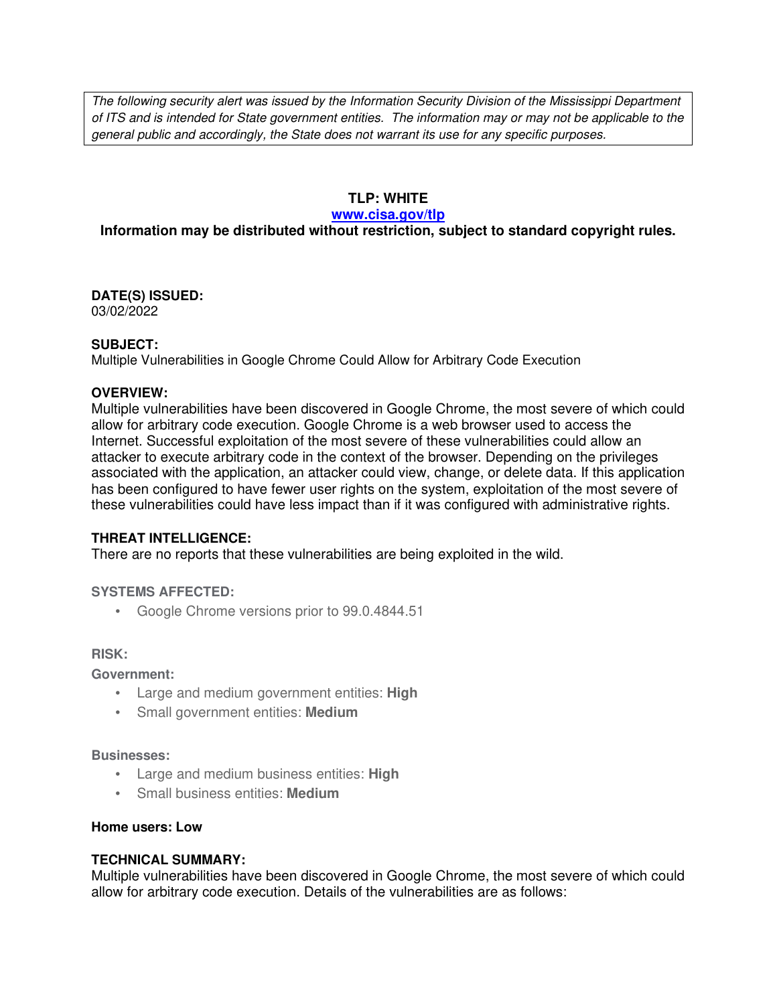The following security alert was issued by the Information Security Division of the Mississippi Department of ITS and is intended for State government entities. The information may or may not be applicable to the general public and accordingly, the State does not warrant its use for any specific purposes.

## **TLP: WHITE**

### **www.cisa.gov/tlp**

# **Information may be distributed without restriction, subject to standard copyright rules.**

**DATE(S) ISSUED:** 03/02/2022

## **SUBJECT:**

Multiple Vulnerabilities in Google Chrome Could Allow for Arbitrary Code Execution

## **OVERVIEW:**

Multiple vulnerabilities have been discovered in Google Chrome, the most severe of which could allow for arbitrary code execution. Google Chrome is a web browser used to access the Internet. Successful exploitation of the most severe of these vulnerabilities could allow an attacker to execute arbitrary code in the context of the browser. Depending on the privileges associated with the application, an attacker could view, change, or delete data. If this application has been configured to have fewer user rights on the system, exploitation of the most severe of these vulnerabilities could have less impact than if it was configured with administrative rights.

## **THREAT INTELLIGENCE:**

There are no reports that these vulnerabilities are being exploited in the wild.

## **SYSTEMS AFFECTED:**

• Google Chrome versions prior to 99.0.4844.51

## **RISK:**

**Government:**

- Large and medium government entities: **High**
- Small government entities: **Medium**

#### **Businesses:**

- Large and medium business entities: **High**
- Small business entities: **Medium**

## **Home users: Low**

## **TECHNICAL SUMMARY:**

Multiple vulnerabilities have been discovered in Google Chrome, the most severe of which could allow for arbitrary code execution. Details of the vulnerabilities are as follows: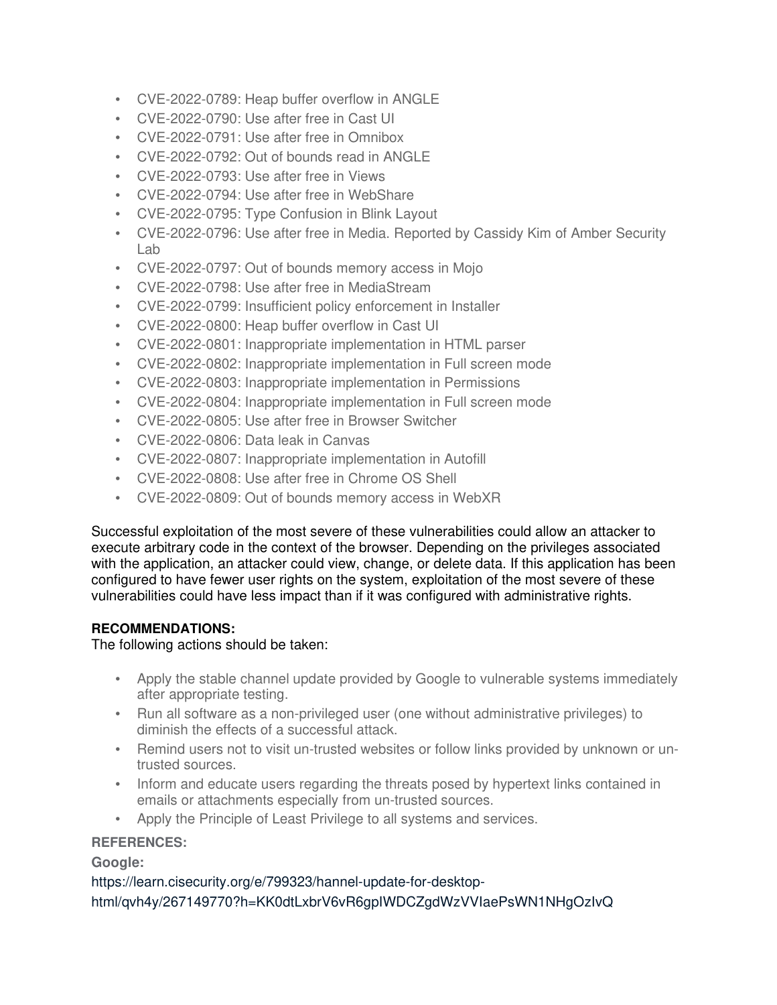- CVE-2022-0789: Heap buffer overflow in ANGLE
- CVE-2022-0790: Use after free in Cast UI
- CVE-2022-0791: Use after free in Omnibox
- CVE-2022-0792: Out of bounds read in ANGLE
- CVE-2022-0793: Use after free in Views
- CVE-2022-0794: Use after free in WebShare
- CVE-2022-0795: Type Confusion in Blink Layout
- CVE-2022-0796: Use after free in Media. Reported by Cassidy Kim of Amber Security Lab
- CVE-2022-0797: Out of bounds memory access in Mojo
- CVE-2022-0798: Use after free in MediaStream
- CVE-2022-0799: Insufficient policy enforcement in Installer
- CVE-2022-0800: Heap buffer overflow in Cast UI
- CVE-2022-0801: Inappropriate implementation in HTML parser
- CVE-2022-0802: Inappropriate implementation in Full screen mode
- CVE-2022-0803: Inappropriate implementation in Permissions
- CVE-2022-0804: Inappropriate implementation in Full screen mode
- CVE-2022-0805: Use after free in Browser Switcher
- CVE-2022-0806: Data leak in Canvas
- CVE-2022-0807: Inappropriate implementation in Autofill
- CVE-2022-0808: Use after free in Chrome OS Shell
- CVE-2022-0809: Out of bounds memory access in WebXR

Successful exploitation of the most severe of these vulnerabilities could allow an attacker to execute arbitrary code in the context of the browser. Depending on the privileges associated with the application, an attacker could view, change, or delete data. If this application has been configured to have fewer user rights on the system, exploitation of the most severe of these vulnerabilities could have less impact than if it was configured with administrative rights.

# **RECOMMENDATIONS:**

The following actions should be taken:

- Apply the stable channel update provided by Google to vulnerable systems immediately after appropriate testing.
- Run all software as a non-privileged user (one without administrative privileges) to diminish the effects of a successful attack.
- Remind users not to visit un-trusted websites or follow links provided by unknown or untrusted sources.
- Inform and educate users regarding the threats posed by hypertext links contained in emails or attachments especially from un-trusted sources.
- Apply the Principle of Least Privilege to all systems and services.

# **REFERENCES:**

**Google:**

https://learn.cisecurity.org/e/799323/hannel-update-for-desktophtml/qvh4y/267149770?h=KK0dtLxbrV6vR6gpIWDCZgdWzVVIaePsWN1NHgOzIvQ